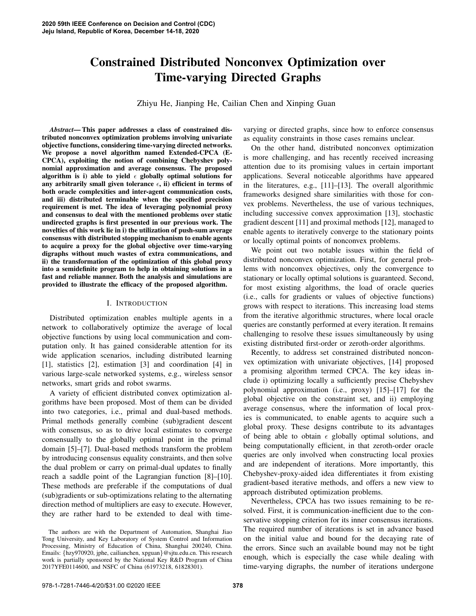# Constrained Distributed Nonconvex Optimization over Time-varying Directed Graphs

Zhiyu He, Jianping He, Cailian Chen and Xinping Guan

*Abstract*— This paper addresses a class of constrained distributed nonconvex optimization problems involving univariate objective functions, considering time-varying directed networks. We propose a novel algorithm named Extended-CPCA (E-CPCA), exploiting the notion of combining Chebyshev polynomial approximation and average consensus. The proposed algorithm is i) able to yield  $\epsilon$  globally optimal solutions for any arbitrarily small given tolerance  $\epsilon$ , ii) efficient in terms of both oracle complexities and inter-agent communication costs, and iii) distributed terminable when the specified precision requirement is met. The idea of leveraging polynomial proxy and consensus to deal with the mentioned problems over static undirected graphs is first presented in our previous work. The novelties of this work lie in i) the utilization of push-sum average consensus with distributed stopping mechanism to enable agents to acquire a proxy for the global objective over time-varying digraphs without much wastes of extra communications, and ii) the transformation of the optimization of this global proxy into a semidefinite program to help in obtaining solutions in a fast and reliable manner. Both the analysis and simulations are provided to illustrate the efficacy of the proposed algorithm.

## I. INTRODUCTION

Distributed optimization enables multiple agents in a network to collaboratively optimize the average of local objective functions by using local communication and computation only. It has gained considerable attention for its wide application scenarios, including distributed learning [1], statistics [2], estimation [3] and coordination [4] in various large-scale networked systems, e.g., wireless sensor networks, smart grids and robot swarms.

A variety of efficient distributed convex optimization algorithms have been proposed. Most of them can be divided into two categories, i.e., primal and dual-based methods. Primal methods generally combine (sub)gradient descent with consensus, so as to drive local estimates to converge consensually to the globally optimal point in the primal domain [5]–[7]. Dual-based methods transform the problem by introducing consensus equality constraints, and then solve the dual problem or carry on primal-dual updates to finally reach a saddle point of the Lagrangian function [8]–[10]. These methods are preferable if the computations of dual (sub)gradients or sub-optimizations relating to the alternating direction method of multipliers are easy to execute. However, they are rather hard to be extended to deal with timevarying or directed graphs, since how to enforce consensus as equality constraints in those cases remains unclear.

On the other hand, distributed nonconvex optimization is more challenging, and has recently received increasing attention due to its promising values in certain important applications. Several noticeable algorithms have appeared in the literatures, e.g., [11]–[13]. The overall algorithmic frameworks designed share similarities with those for convex problems. Nevertheless, the use of various techniques, including successive convex approximation [13], stochastic gradient descent [11] and proximal methods [12], managed to enable agents to iteratively converge to the stationary points or locally optimal points of nonconvex problems.

We point out two notable issues within the field of distributed nonconvex optimization. First, for general problems with nonconvex objectives, only the convergence to stationary or locally optimal solutions is guaranteed. Second, for most existing algorithms, the load of oracle queries (i.e., calls for gradients or values of objective functions) grows with respect to iterations. This increasing load stems from the iterative algorithmic structures, where local oracle queries are constantly performed at every iteration. It remains challenging to resolve these issues simultaneously by using existing distributed first-order or zeroth-order algorithms.

Recently, to address set constrained distributed nonconvex optimization with univariate objectives, [14] proposed a promising algorithm termed CPCA. The key ideas include i) optimizing locally a sufficiently precise Chebyshev polynomial approximation (i.e., proxy) [15]–[17] for the global objective on the constraint set, and ii) employing average consensus, where the information of local proxies is communicated, to enable agents to acquire such a global proxy. These designs contribute to its advantages of being able to obtain  $\epsilon$  globally optimal solutions, and being computationally efficient, in that zeroth-order oracle queries are only involved when constructing local proxies and are independent of iterations. More importantly, this Chebyshev-proxy-aided idea differentiates it from existing gradient-based iterative methods, and offers a new view to approach distributed optimization problems.

Nevertheless, CPCA has two issues remaining to be resolved. First, it is communication-inefficient due to the conservative stopping criterion for its inner consensus iterations. The required number of iterations is set in advance based on the initial value and bound for the decaying rate of the errors. Since such an available bound may not be tight enough, which is especially the case while dealing with time-varying digraphs, the number of iterations undergone

The authors are with the Department of Automation, Shanghai Jiao Tong University, and Key Laboratory of System Control and Information Processing, Ministry of Education of China, Shanghai 200240, China. Emails: {hzy970920, jphe, cailianchen, xpguan}@sjtu.edu.cn. This research work is partially sponsored by the National Key R&D Program of China 2017YFE0114600, and NSFC of China (61973218, 61828301).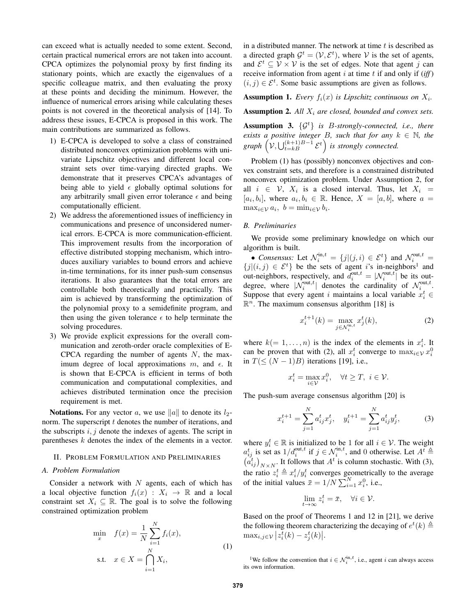can exceed what is actually needed to some extent. Second, certain practical numerical errors are not taken into account. CPCA optimizes the polynomial proxy by first finding its stationary points, which are exactly the eigenvalues of a specific colleague matrix, and then evaluating the proxy at these points and deciding the minimum. However, the influence of numerical errors arising while calculating theses points is not covered in the theoretical analysis of [14]. To address these issues, E-CPCA is proposed in this work. The main contributions are summarized as follows.

- 1) E-CPCA is developed to solve a class of constrained distributed nonconvex optimization problems with univariate Lipschitz objectives and different local constraint sets over time-varying directed graphs. We demonstrate that it preserves CPCA's advantages of being able to yield  $\epsilon$  globally optimal solutions for any arbitrarily small given error tolerance  $\epsilon$  and being computationally efficient.
- 2) We address the aforementioned issues of inefficiency in communications and presence of unconsidered numerical errors. E-CPCA is more communication-efficient. This improvement results from the incorporation of effective distributed stopping mechanism, which introduces auxiliary variables to bound errors and achieve in-time terminations, for its inner push-sum consensus iterations. It also guarantees that the total errors are controllable both theoretically and practically. This aim is achieved by transforming the optimization of the polynomial proxy to a semidefinite program, and then using the given tolerance  $\epsilon$  to help terminate the solving procedures.
- 3) We provide explicit expressions for the overall communication and zeroth-order oracle complexities of E-CPCA regarding the number of agents  $N$ , the maximum degree of local approximations  $m$ , and  $\epsilon$ . It is shown that E-CPCA is efficient in terms of both communication and computational complexities, and achieves distributed termination once the precision requirement is met.

**Notations.** For any vector a, we use  $\|a\|$  to denote its  $l_2$ norm. The superscript  $t$  denotes the number of iterations, and the subscripts  $i, j$  denote the indexes of agents. The script in parentheses k denotes the index of the elements in a vector.

#### II. PROBLEM FORMULATION AND PRELIMINARIES

# *A. Problem Formulation*

Consider a network with  $N$  agents, each of which has a local objective function  $f_i(x) : X_i \to \mathbb{R}$  and a local constraint set  $X_i \subseteq \mathbb{R}$ . The goal is to solve the following constrained optimization problem

$$
\min_{x} \quad f(x) = \frac{1}{N} \sum_{i=1}^{N} f_i(x),
$$
\n
$$
\text{s.t.} \quad x \in X = \bigcap_{i=1}^{N} X_i,
$$
\n
$$
(1)
$$

in a distributed manner. The network at time  $t$  is described as a directed graph  $\mathcal{G}^t = (\mathcal{V}, \mathcal{E}^t)$ , where  $\mathcal{V}$  is the set of agents, and  $\mathcal{E}^t \subseteq \mathcal{V} \times \mathcal{V}$  is the set of edges. Note that agent j can receive information from agent  $i$  at time  $t$  if and only if  $(iff)$  $(i, j) \in \mathcal{E}^t$ . Some basic assumptions are given as follows.

# **Assumption 1.** Every  $f_i(x)$  is Lipschitz continuous on  $X_i$ .

Assumption 2. *All* X<sup>i</sup> *are closed, bounded and convex sets.*

Assumption 3. {G<sup>t</sup>} *is* B*-strongly-connected, i.e., there exists a positive integer B, such that for any*  $k \in \mathbb{N}$ , the  $graph\left(\mathcal{V}, \bigcup_{t=kB}^{(k+1)B-1} \mathcal{E}^t\right)$  is strongly connected.

Problem (1) has (possibly) nonconvex objectives and convex constraint sets, and therefore is a constrained distributed nonconvex optimization problem. Under Assumption 2, for all  $i \in V$ ,  $X_i$  is a closed interval. Thus, let  $X_i =$  $[a_i, b_i]$ , where  $a_i, b_i \in \mathbb{R}$ . Hence,  $X = [a, b]$ , where  $a =$  $\max_{i\in\mathcal{V}} a_i, b = \min_{i\in\mathcal{V}} b_i.$ 

# *B. Preliminaries*

We provide some preliminary knowledge on which our algorithm is built.

• *Consensus:* Let  $\mathcal{N}_i^{\text{in},t} = \{j | (j,i) \in \mathcal{E}^t\}$  and  $\mathcal{N}_i^{\text{out},t} =$  ${j|(i,j) \in \mathcal{E}^t}$  be the sets of agent i's in-neighbors<sup>1</sup> and out-neighbors, respectively, and  $\overline{d}_i^{\text{out},t} = |N_i^{\text{out},t}|$  be its outdegree, where  $|\mathcal{N}_i^{\text{out},t}|$  denotes the cardinality of  $\mathcal{N}_i^{\text{out},t}$ . Suppose that every agent i maintains a local variable  $x_i^t \in$  $\mathbb{R}^n$ . The maximum consensus algorithm [18] is

$$
x_i^{t+1}(k) = \max_{j \in \mathcal{N}_i^{\text{in},t}} x_j^t(k),\tag{2}
$$

where  $k (= 1, \ldots, n)$  is the index of the elements in  $x_i^t$ . It can be proven that with (2), all  $x_i^t$  converge to  $\max_{i \in \mathcal{V}} x_i^0$ in  $T(\leq (N-1)B)$  iterations [19], i.e.,

$$
x_i^t = \max_{i \in \mathcal{V}} x_i^0, \quad \forall t \ge T, \ i \in \mathcal{V}.
$$

The push-sum average consensus algorithm [20] is

$$
x_i^{t+1} = \sum_{j=1}^N a_{ij}^t x_j^t, \quad y_i^{t+1} = \sum_{j=1}^N a_{ij}^t y_j^t,\tag{3}
$$

where  $y_i^t \in \mathbb{R}$  is initialized to be 1 for all  $i \in \mathcal{V}$ . The weight  $a_{ij}^t$  is set as  $1/d_i^{\text{out},t}$  if  $j \in \mathcal{N}_i^{\text{in},t}$ , and 0 otherwise. Let  $A^t \triangleq$  $(\tilde{a}_{ij}^t)_{N \times N}$ . It follows that  $A^t$  is column stochastic. With (3), the ratio  $z_i^t \triangleq x_i^t/y_i^t$  converges geometrically to the average of the initial values  $\bar{x} = 1/N \sum_{i=1}^{N} x_i^0$ , i.e.,

$$
\lim_{t \to \infty} z_i^t = \bar{x}, \quad \forall i \in \mathcal{V}.
$$

Based on the proof of Theorems 1 and 12 in [21], we derive the following theorem characterizing the decaying of  $e^t(k) \triangleq$  $\max_{i,j\in\mathcal{V}}\big|z_i^t(k)-z_j^t(k)\big|.$ 

<sup>&</sup>lt;sup>1</sup>We follow the convention that  $i \in \mathcal{N}_i^{\text{in},t}$ , i.e., agent i can always access its own information.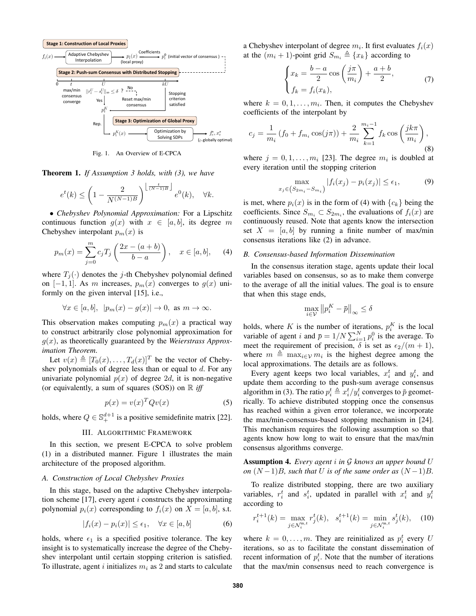

Fig. 1. An Overview of E-CPCA

Theorem 1. *If Assumption 3 holds, with (3), we have*

$$
e^{t}(k) \le \left(1 - \frac{2}{N^{(N-1)B}}\right)^{\left\lfloor \frac{t}{(N-1)B} \right\rfloor} e^{0}(k), \quad \forall k.
$$

• *Chebyshev Polynomial Approximation:* For a Lipschitz continuous function  $g(x)$  with  $x \in [a, b]$ , its degree m Chebyshev interpolant  $p_m(x)$  is

$$
p_m(x) = \sum_{j=0}^{m} c_j T_j \left( \frac{2x - (a+b)}{b-a} \right), \quad x \in [a, b], \quad (4)
$$

where  $T_i(\cdot)$  denotes the j-th Chebyshev polynomial defined on  $[-1, 1]$ . As m increases,  $p_m(x)$  converges to  $g(x)$  uniformly on the given interval [15], i.e.,

$$
\forall x \in [a, b], \ |p_m(x) - g(x)| \to 0, \text{ as } m \to \infty.
$$

This observation makes computing  $p_m(x)$  a practical way to construct arbitrarily close polynomial approximation for g(x), as theoretically guaranteed by the *Weierstrass Approximation Theorem*.

Let  $v(x) \triangleq [T_0(x), \ldots, T_d(x)]^T$  be the vector of Chebyshev polynomials of degree less than or equal to d. For any univariate polynomial  $p(x)$  of degree 2d, it is non-negative (or equivalently, a sum of squares  $(SOS)$ ) on  $\mathbb R$  *iff* 

$$
p(x) = v(x)^T Q v(x) \tag{5}
$$

holds, where  $Q \in \mathbb{S}^{d+1}_+$  is a positive semidefinite matrix [22].

# III. ALGORITHMIC FRAMEWORK

In this section, we present E-CPCA to solve problem (1) in a distributed manner. Figure 1 illustrates the main architecture of the proposed algorithm.

# *A. Construction of Local Chebyshev Proxies*

In this stage, based on the adaptive Chebyshev interpolation scheme  $[17]$ , every agent *i* constructs the approximating polynomial  $p_i(x)$  corresponding to  $f_i(x)$  on  $X = [a, b]$ , s.t.

$$
|f_i(x) - p_i(x)| \le \epsilon_1, \quad \forall x \in [a, b]
$$
 (6)

holds, where  $\epsilon_1$  is a specified positive tolerance. The key insight is to systematically increase the degree of the Chebyshev interpolant until certain stopping criterion is satisfied. To illustrate, agent i initializes  $m_i$  as 2 and starts to calculate

a Chebyshev interpolant of degree  $m_i$ . It first evaluates  $f_i(x)$ at the  $(m_i + 1)$ -point grid  $S_{m_i} \triangleq \{x_k\}$  according to

$$
\begin{cases} x_k = \frac{b-a}{2} \cos\left(\frac{j\pi}{m_i}\right) + \frac{a+b}{2}, \\ f_k = f_i(x_k), \end{cases}
$$
 (7)

where  $k = 0, 1, \dots, m_i$ . Then, it computes the Chebyshev coefficients of the interpolant by

$$
c_j = \frac{1}{m_i} \left( f_0 + f_{m_i} \cos(j\pi) \right) + \frac{2}{m_i} \sum_{k=1}^{m_i - 1} f_k \cos\left(\frac{jk\pi}{m_i}\right),\tag{8}
$$

where  $j = 0, 1, \ldots, m_i$  [23]. The degree  $m_i$  is doubled at every iteration until the stopping criterion

$$
\max_{x_j \in (S_{2m_i} - S_{m_i})} |f_i(x_j) - p_i(x_j)| \le \epsilon_1,
$$
\n(9)

is met, where  $p_i(x)$  is in the form of (4) with  $\{c_k\}$  being the coefficients. Since  $S_{m_i} \subset S_{2m_i}$ , the evaluations of  $f_i(x)$  are continuously reused. Note that agents know the intersection set  $X = [a, b]$  by running a finite number of max/min consensus iterations like (2) in advance.

#### *B. Consensus-based Information Dissemination*

In the consensus iteration stage, agents update their local variables based on consensus, so as to make them converge to the average of all the initial values. The goal is to ensure that when this stage ends,

$$
\max_{i\in\mathcal{V}}\left\|p_i^K - \bar{p}\right\|_\infty \leq \delta
$$

holds, where K is the number of iterations,  $p_i^K$  is the local variable of agent i and  $\bar{p} = 1/N \sum_{i=1}^{N} p_i^0$  is the average. To meet the requirement of precision,  $\delta$  is set as  $\epsilon_2/(m+1)$ , where  $m \triangleq \max_{i \in \mathcal{V}} m_i$  is the highest degree among the local approximations. The details are as follows.

Every agent keeps two local variables,  $x_i^t$  and  $y_i^t$ , and update them according to the push-sum average consensus algorithm in (3). The ratio  $p_i^t \triangleq x_i^t / y_i^t$  converges to  $\bar{p}$  geometrically. To achieve distributed stopping once the consensus has reached within a given error tolerance, we incorporate the max/min-consensus-based stopping mechanism in [24]. This mechanism requires the following assumption so that agents know how long to wait to ensure that the max/min consensus algorithms converge.

Assumption 4. *Every agent* i *in* G *knows an upper bound* U *on*  $(N-1)B$ *, such that* U *is of the same order as*  $(N-1)B$ *.* 

To realize distributed stopping, there are two auxiliary variables,  $r_i^t$  and  $s_i^t$ , updated in parallel with  $x_i^t$  and  $y_i^t$ according to

$$
r_i^{t+1}(k) = \max_{j \in \mathcal{N}_i^{\text{in},t}} r_j^t(k), \quad s_i^{t+1}(k) = \min_{j \in \mathcal{N}_i^{\text{in},t}} s_j^t(k), \quad (10)
$$

where  $k = 0, \dots, m$ . They are reinitialized as  $p_i^t$  every U iterations, so as to facilitate the constant dissemination of recent information of  $p_i^t$ . Note that the number of iterations that the max/min consensus need to reach convergence is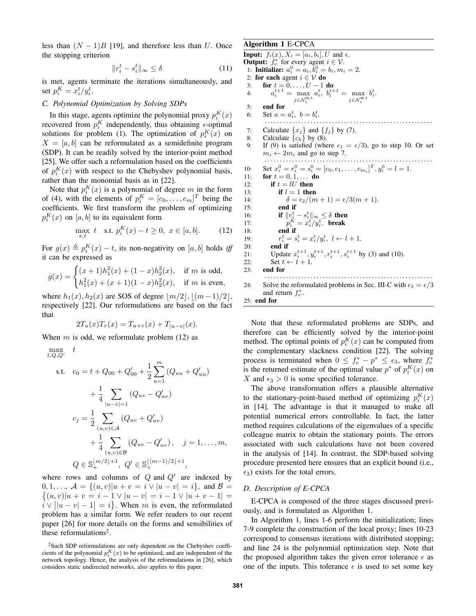less than  $(N - 1)B$  [19], and therefore less than U. Once the stopping criterion

$$
||r_i^t - s_i^t||_{\infty} \le \delta \tag{11}
$$

is met, agents terminate the iterations simultaneously, and set  $p_i^K = x_i^t/y_i^t$ .

# *C. Polynomial Optimization by Solving SDPs*

In this stage, agents optimize the polynomial proxy  $p_i^K(x)$ recovered from  $p_i^K$  independently, thus obtaining  $\epsilon$ -optimal solutions for problem (1). The optimization of  $p_i^K(x)$  on  $X = [a, b]$  can be reformulated as a semidefinite program (SDP). It can be readily solved by the interior-point method [25]. We offer such a reformulation based on the coefficients of  $p_i^{K}(x)$  with respect to the Chebyshev polynomial basis, rather than the monomial basis as in [22].

Note that  $p_i^K(x)$  is a polynomial of degree m in the form of (4), with the elements of  $p_i^K = [c_0, \dots, c_m]^T$  being the coefficients. We first transform the problem of optimizing  $p_i^K(x)$  on  $[a, b]$  to its equivalent form

$$
\max_{x,t} t \quad \text{s.t. } p_i^K(x) - t \ge 0, \ x \in [a, b]. \tag{12}
$$

For  $g(x) \triangleq p_i^K(x) - t$ , its non-negativity on [a, b] holds *iff* it can be expressed as

$$
g(x) = \begin{cases} (x+1)h_1^2(x) + (1-x)h_2^2(x), & \text{if } m \text{ is odd,} \\ h_1^2(x) + (x+1)(1-x)h_2^2(x), & \text{if } m \text{ is even,} \end{cases}
$$

where  $h_1(x)$ ,  $h_2(x)$  are SOS of degree  $\lfloor m/2 \rfloor$ ,  $\lfloor (m-1)/2 \rfloor$ , respectively [22]. Our reformulations are based on the fact that

$$
2T_u(x)T_v(x) = T_{u+v}(x) + T_{|u-v|}(x).
$$

When  $m$  is odd, we reformulate problem (12) as

$$
\max_{t,Q,Q'} \quad t
$$
\n
$$
\text{s.t.} \quad c_0 = t + Q_{00} + Q'_{00} + \frac{1}{2} \sum_{u=1}^m (Q_{uu} + Q'_{uu})
$$
\n
$$
+ \frac{1}{4} \sum_{|u-v|=1} (Q_{uv} - Q'_{uv})
$$
\n
$$
c_j = \frac{1}{2} \sum_{(u,v) \in A} (Q_{uv} + Q'_{uv})
$$
\n
$$
+ \frac{1}{4} \sum_{(u,v) \in B} (Q_{uv} - Q'_{uv}), \quad j = 1, ..., m,
$$
\n
$$
Q \in \mathbb{S}_+^{\lfloor m/2 \rfloor + 1}, \ Q' \in \mathbb{S}_+^{\lfloor (m-1)/2 \rfloor + 1},
$$

where rows and columns of  $Q$  and  $Q'$  are indexed by 0, 1, ...,  $A = \{(u, v) | u + v = i \vee | u - v | = i \}$ , and  $B =$  $\{(u, v)|u + v = i - 1 \vee |u - v| = i - 1 \vee |u + v - 1|$  $\hat{i} \vee ||u - v| - 1 = \hat{i}$ . When m is even, the reformulated problem has a similar form. We refer readers to our recent paper [26] for more details on the forms and sensibilities of these reformulations<sup>2</sup>.

# Algorithm 1 E-CPCA

**Input:**  $f_i(x)$ ,  $X_i = [a_i, b_i]$ ,  $U$  and  $\epsilon$ . **Output:**  $f_e^*$  for every agent  $i \in \mathcal{V}$ . 1: **Initialize:**  $a_i^0 = a_i, b_i^0 = b_i, m_i = 2$ . 2: for each agent  $i \in V$  do 3: **for**  $t = 0, ..., U - 1$  **do** 4:  $a_i^{t+1} = \max_{j \in \mathcal{N}_i^{\text{in},t}}$  $a_i^t, b_i^{t+1} = \max_{j \in \mathcal{N}_i^{\text{in},t}}$  $b_i^t$ . 5: end for 6: Set  $a = a_i^t, b = b_i^t$ . . . . . . . . . . . . . . . . . . . . . . . . . . . . . . . . . . . . . . . . . . . . . . . . . . . . . . . . 7: Calculate  $\{x_j\}$  and  $\{f_j\}$  by (7). 8: Calculate  $\{c_k\}$  by (8).<br>9: If (9) is satisfied (where If (9) is satisfied (where  $\epsilon_1 = \epsilon/3$ ), go to step 10. Or set  $m_i \leftarrow 2m_i$  and go to step 7. . . . . . . . . . . . . . . . . . . . . . . . . . . . . . . . . . . . . . . . . . . . . . . . . . . . . . . . 10: Set  $x_i^0 = r_i^0 = s_i^0 = [c_0, c_1, \dots, c_{m_i}]^T, y_i^0 = l = 1.$ 11: **for**  $t = 0, 1, ...$  **do** 12: if  $t = lU$  then 13: if  $l = 1$  then 14:  $\delta = \frac{\epsilon_2}{m+1} = \frac{\epsilon}{3(m+1)}$ . 15: end if 16: **if**  $||r_i^t - s_i^t||_{\infty} \leq \delta$  then 17:  $p_i^K = x_i^t/y_i^t$ . break 18: end if  $19:$  $t_i^t = s_i^t = x_i^t/y_i^t$ ,  $l \leftarrow l + 1$ . 20: end if 21: Update  $x_i^{t+1}, y_i^{t+1}, r_i^{t+1}, s_i^{t+1}$  by (3) and (10). 22: Set  $t \leftarrow t + 1$ . 23: end for . . . . . . . . . . . . . . . . . . . . . . . . . . . . . . . . . . . . . . . . . . . . . . . . . . . . . . . 24: Solve the reformulated problems in Sec. III-C with  $\epsilon_3 = \epsilon/3$ and return  $f_e^*$ . 25: end for

Note that these reformulated problems are SDPs, and therefore can be efficiently solved by the interior-point method. The optimal points of  $p_i^K(x)$  can be computed from the complementary slackness condition [22]. The solving process is terminated when  $0 \leq f_e^* - p^* \leq \epsilon_3$ , where  $f_e^*$ is the returned estimate of the optimal value  $p^*$  of  $p_i^K(x)$  on X and  $\epsilon_3 > 0$  is some specified tolerance.

The above transformation offers a plausible alternative to the stationary-point-based method of optimizing  $p_i^K(x)$ in [14]. The advantage is that it managed to make all potential numerical errors controllable. In fact, the latter method requires calculations of the eigenvalues of a specific colleague matrix to obtain the stationary points. The errors associated with such calculations have not been covered in the analysis of [14]. In contrast, the SDP-based solving procedure presented here ensures that an explicit bound (i.e.,  $\epsilon_3$ ) exists for the total errors.

# *D. Description of E-CPCA*

E-CPCA is composed of the three stages discussed previously, and is formulated as Algorithm 1.

In Algorithm 1, lines 1-6 perform the initialization; lines 7-9 complete the construction of the local proxy; lines 10-23 correspond to consensus iterations with distributed stopping; and line 24 is the polynomial optimization step. Note that the proposed algorithm takes the given error tolerance  $\epsilon$  as one of the inputs. This tolerance  $\epsilon$  is used to set some key

<sup>2</sup>Such SDP reformulations are only dependent on the Chebyshev coefficients of the polynomial  $p_i^K(x)$  to be optimized, and are independent of the network topology. Hence, the analysis of the reformulations in [26], which considers static undirected networks, also applies to this paper.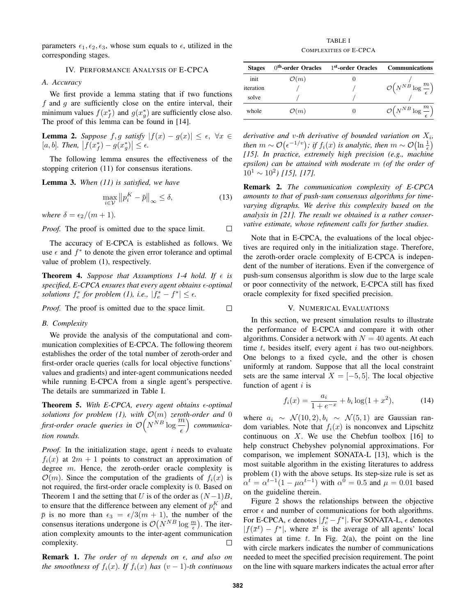parameters  $\epsilon_1, \epsilon_2, \epsilon_3$ , whose sum equals to  $\epsilon$ , utilized in the corresponding stages.

## IV. PERFORMANCE ANALYSIS OF E-CPCA

*A. Accuracy*

We first provide a lemma stating that if two functions  $f$  and  $g$  are sufficiently close on the entire interval, their minimum values  $f(x_f^*)$  and  $g(x_g^*)$  are sufficiently close also. The proof of this lemma can be found in [14].

**Lemma 2.** Suppose 
$$
f, g
$$
 satisfy  $|f(x) - g(x)| \le \epsilon$ ,  $\forall x \in [a, b]$ . Then,  $|f(x_f^*) - g(x_g^*)| \le \epsilon$ .

The following lemma ensures the effectiveness of the stopping criterion (11) for consensus iterations.

Lemma 3. *When (11) is satisfied, we have*

$$
\max_{i \in \mathcal{V}} \left\| p_i^K - \bar{p} \right\|_{\infty} \le \delta,\tag{13}
$$

*where*  $\delta = \frac{\epsilon_2}{m+1}$ .

*Proof.* The proof is omitted due to the space limit.  $\Box$ 

The accuracy of E-CPCA is established as follows. We use  $\epsilon$  and  $f^*$  to denote the given error tolerance and optimal value of problem (1), respectively.

**Theorem 4.** Suppose that Assumptions 1-4 hold. If  $\epsilon$  is *specified, E-CPCA ensures that every agent obtains -optimal solutions*  $f_e^*$  *for problem* (1), *i.e.*,  $|f_e^* - f^*| \le \epsilon$ .

*Proof.* The proof is omitted due to the space limit.  $\Box$ 

#### *B. Complexity*

We provide the analysis of the computational and communication complexities of E-CPCA. The following theorem establishes the order of the total number of zeroth-order and first-order oracle queries (calls for local objective functions' values and gradients) and inter-agent communications needed while running E-CPCA from a single agent's perspective. The details are summarized in Table I.

Theorem 5. With E-CPCA, every agent obtains  $\epsilon$ -optimal *solutions for problem (1), with*  $\mathcal{O}(m)$  *zeroth-order and* 0 *first-order oracle queries in*  $\mathcal{O}(N^{NB} \log \frac{m}{\epsilon})$  *communication rounds.*

*Proof.* In the initialization stage, agent  $i$  needs to evaluate  $f_i(x)$  at  $2m + 1$  points to construct an approximation of degree m. Hence, the zeroth-order oracle complexity is  $\mathcal{O}(m)$ . Since the computation of the gradients of  $f_i(x)$  is not required, the first-order oracle complexity is 0. Based on Theorem 1 and the setting that U is of the order as  $(N-1)B$ , to ensure that the difference between any element of  $p_i^K$  and  $\bar{p}$  is no more than  $\epsilon_3 = \epsilon/3(m + 1)$ , the number of the consensus iterations undergone is  $\mathcal{O}(N^{NB} \log \frac{m}{\epsilon})$ . The iteration complexity amounts to the inter-agent communication complexity.  $\Box$ 

**Remark 1.** *The order of m depends on*  $\epsilon$ , *and also on the smoothness of*  $f_i(x)$ *. If*  $f_i(x)$  *has*  $(v-1)$ *-th continuous* 

TABLE I COMPLEXITIES OF E-CPCA

| <b>Stages</b> | $0th$ -order Oracles | <sup>1st</sup> -order Oracles | <b>Communications</b>                                  |
|---------------|----------------------|-------------------------------|--------------------------------------------------------|
| init          | $\mathcal{O}(m)$     |                               |                                                        |
| iteration     |                      |                               | $\mathcal{O}\left(N^{NB}\log\frac{m}{2}\right)$        |
| solve         |                      |                               |                                                        |
| whole         | $\mathcal{O}(m)$     |                               | $\mathcal{O}\left(N^{NB}\log\frac{m}{\epsilon}\right)$ |

derivative and v-th derivative of bounded variation on  $X_i$ , *then*  $m \sim \mathcal{O}\left(\epsilon^{-1/v}\right)$ ; *if*  $f_i(x)$  *is analytic, then*  $m \sim \mathcal{O}\left(\ln \frac{1}{\epsilon}\right)$ *[15]. In practice, extremely high precision (e.g., machine epsilon) can be attained with moderate* m *(of the order of*  $10^1 \sim 10^2$ ) [15], [17].

Remark 2. *The communication complexity of E-CPCA amounts to that of push-sum consensus algorithms for timevarying digraphs. We derive this complexity based on the analysis in [21]. The result we obtained is a rather conservative estimate, whose refinement calls for further studies.*

Note that in E-CPCA, the evaluations of the local objectives are required only in the initialization stage. Therefore, the zeroth-order oracle complexity of E-CPCA is independent of the number of iterations. Even if the convergence of push-sum consensus algorithm is slow due to the large scale or poor connectivity of the network, E-CPCA still has fixed oracle complexity for fixed specified precision.

# V. NUMERICAL EVALUATIONS

In this section, we present simulation results to illustrate the performance of E-CPCA and compare it with other algorithms. Consider a network with  $N = 40$  agents. At each time  $t$ , besides itself, every agent  $i$  has two out-neighbors. One belongs to a fixed cycle, and the other is chosen uniformly at random. Suppose that all the local constraint sets are the same interval  $X = [-5, 5]$ . The local objective function of agent  $i$  is

$$
f_i(x) = \frac{a_i}{1 + e^{-x}} + b_i \log(1 + x^2),\tag{14}
$$

where  $a_i \sim \mathcal{N}(10, 2), b_i \sim \mathcal{N}(5, 1)$  are Gaussian random variables. Note that  $f_i(x)$  is nonconvex and Lipschitz continuous on  $X$ . We use the Chebfun toolbox [16] to help construct Chebyshev polynomial approximations. For comparison, we implement SONATA-L [13], which is the most suitable algorithm in the existing literatures to address problem (1) with the above setups. Its step-size rule is set as  $\alpha^t = \alpha^{t-1}(1 - \mu \alpha^{t-1})$  with  $\alpha^0 = 0.5$  and  $\mu = 0.01$  based on the guideline therein.

Figure 2 shows the relationships between the objective error  $\epsilon$  and number of communications for both algorithms. For E-CPCA,  $\epsilon$  denotes  $|f_e^* - f^*|$ . For SONATA-L,  $\epsilon$  denotes  $|f(\overline{x}^t) - f^*|$ , where  $\overline{x}^t$  is the average of all agents' local estimates at time  $t$ . In Fig. 2(a), the point on the line with circle markers indicates the number of communications needed to meet the specified precision requirement. The point on the line with square markers indicates the actual error after